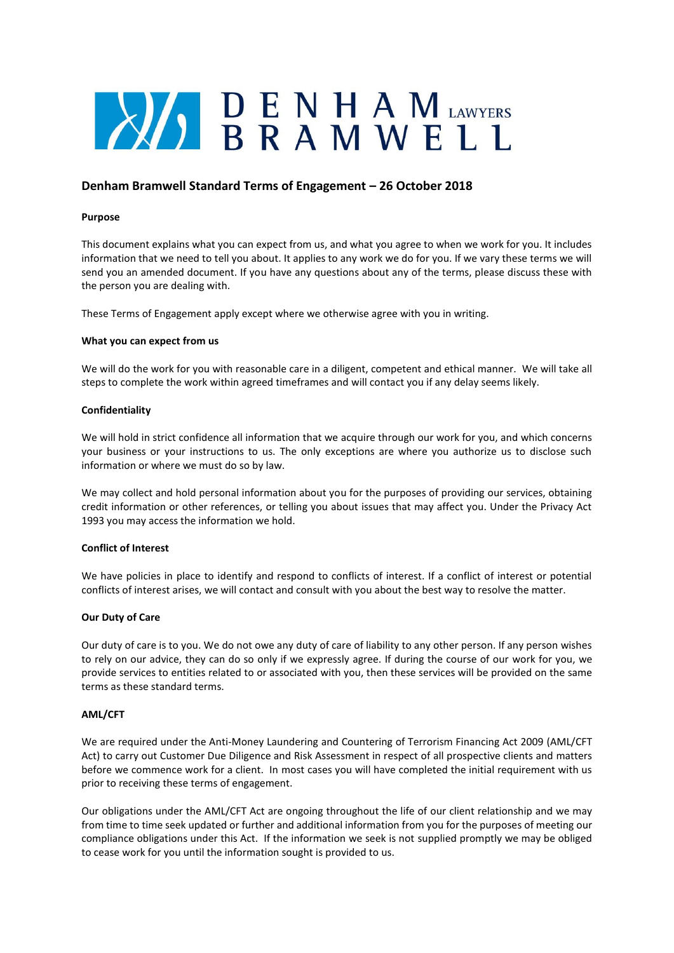# **ENHAMIAWYERS**

# **Denham Bramwell Standard Terms of Engagement – 26 October 2018**

# **Purpose**

This document explains what you can expect from us, and what you agree to when we work for you. It includes information that we need to tell you about. It applies to any work we do for you. If we vary these terms we will send you an amended document. If you have any questions about any of the terms, please discuss these with the person you are dealing with.

These Terms of Engagement apply except where we otherwise agree with you in writing.

# **What you can expect from us**

We will do the work for you with reasonable care in a diligent, competent and ethical manner. We will take all steps to complete the work within agreed timeframes and will contact you if any delay seems likely.

# **Confidentiality**

We will hold in strict confidence all information that we acquire through our work for you, and which concerns your business or your instructions to us. The only exceptions are where you authorize us to disclose such information or where we must do so by law.

We may collect and hold personal information about you for the purposes of providing our services, obtaining credit information or other references, or telling you about issues that may affect you. Under the Privacy Act 1993 you may access the information we hold.

# **Conflict of Interest**

We have policies in place to identify and respond to conflicts of interest. If a conflict of interest or potential conflicts of interest arises, we will contact and consult with you about the best way to resolve the matter.

# **Our Duty of Care**

Our duty of care is to you. We do not owe any duty of care of liability to any other person. If any person wishes to rely on our advice, they can do so only if we expressly agree. If during the course of our work for you, we provide services to entities related to or associated with you, then these services will be provided on the same terms as these standard terms.

#### **AML/CFT**

We are required under the Anti-Money Laundering and Countering of Terrorism Financing Act 2009 (AML/CFT Act) to carry out Customer Due Diligence and Risk Assessment in respect of all prospective clients and matters before we commence work for a client. In most cases you will have completed the initial requirement with us prior to receiving these terms of engagement.

Our obligations under the AML/CFT Act are ongoing throughout the life of our client relationship and we may from time to time seek updated or further and additional information from you for the purposes of meeting our compliance obligations under this Act. If the information we seek is not supplied promptly we may be obliged to cease work for you until the information sought is provided to us.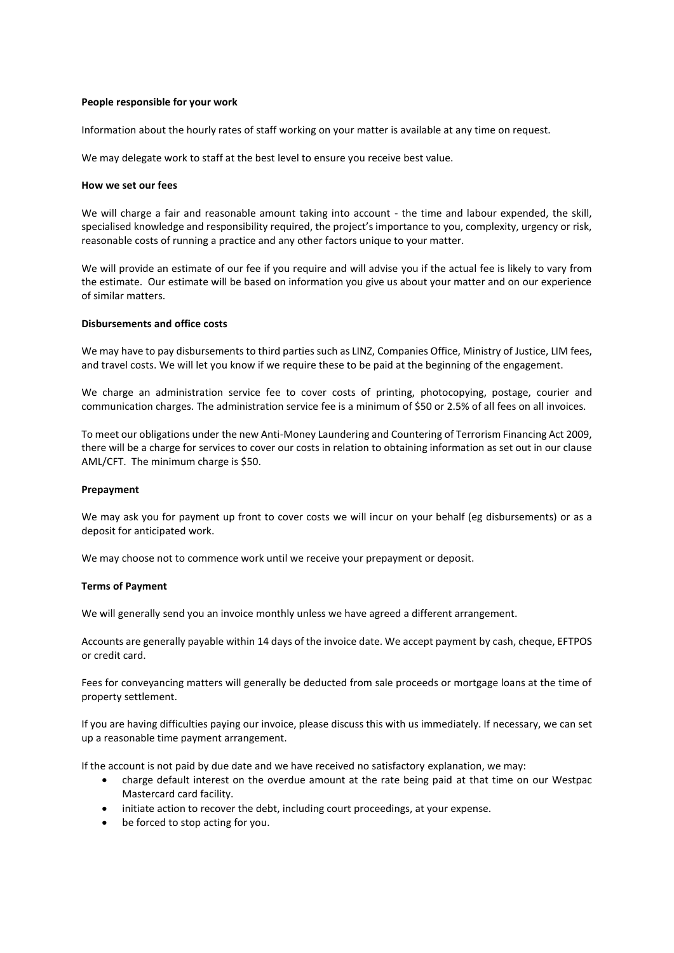# **People responsible for your work**

Information about the hourly rates of staff working on your matter is available at any time on request.

We may delegate work to staff at the best level to ensure you receive best value.

#### **How we set our fees**

We will charge a fair and reasonable amount taking into account - the time and labour expended, the skill, specialised knowledge and responsibility required, the project's importance to you, complexity, urgency or risk, reasonable costs of running a practice and any other factors unique to your matter.

We will provide an estimate of our fee if you require and will advise you if the actual fee is likely to vary from the estimate. Our estimate will be based on information you give us about your matter and on our experience of similar matters.

# **Disbursements and office costs**

We may have to pay disbursements to third parties such as LINZ, Companies Office, Ministry of Justice, LIM fees, and travel costs. We will let you know if we require these to be paid at the beginning of the engagement.

We charge an administration service fee to cover costs of printing, photocopying, postage, courier and communication charges. The administration service fee is a minimum of \$50 or 2.5% of all fees on all invoices.

To meet our obligations under the new Anti-Money Laundering and Countering of Terrorism Financing Act 2009, there will be a charge for services to cover our costs in relation to obtaining information as set out in our clause AML/CFT. The minimum charge is \$50.

#### **Prepayment**

We may ask you for payment up front to cover costs we will incur on your behalf (eg disbursements) or as a deposit for anticipated work.

We may choose not to commence work until we receive your prepayment or deposit.

#### **Terms of Payment**

We will generally send you an invoice monthly unless we have agreed a different arrangement.

Accounts are generally payable within 14 days of the invoice date. We accept payment by cash, cheque, EFTPOS or credit card.

Fees for conveyancing matters will generally be deducted from sale proceeds or mortgage loans at the time of property settlement.

If you are having difficulties paying our invoice, please discuss this with us immediately. If necessary, we can set up a reasonable time payment arrangement.

If the account is not paid by due date and we have received no satisfactory explanation, we may:

- charge default interest on the overdue amount at the rate being paid at that time on our Westpac Mastercard card facility.
- initiate action to recover the debt, including court proceedings, at your expense.
- be forced to stop acting for you.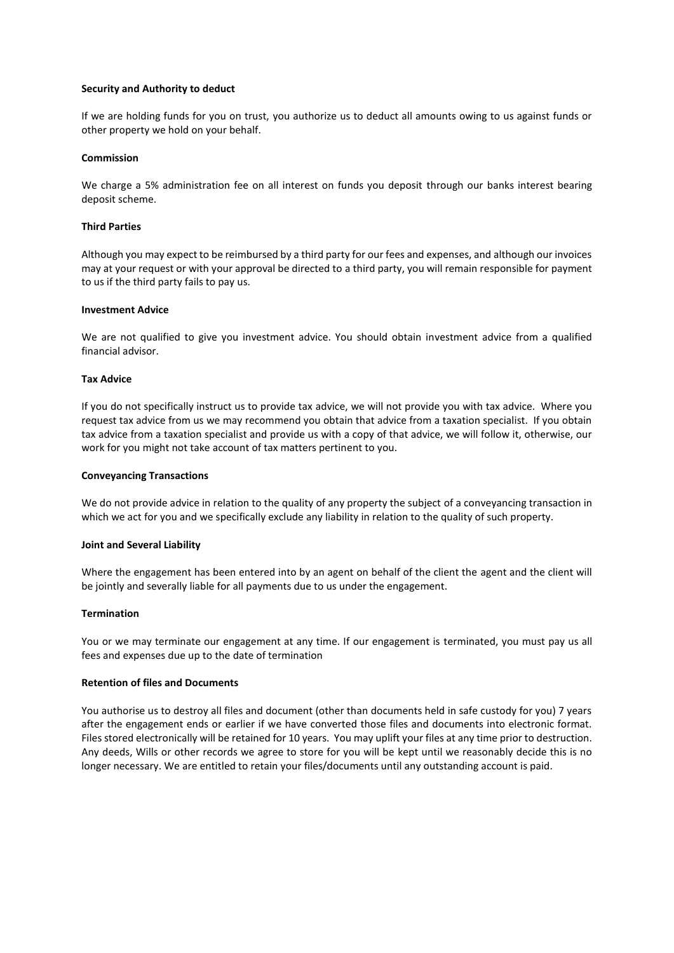# **Security and Authority to deduct**

If we are holding funds for you on trust, you authorize us to deduct all amounts owing to us against funds or other property we hold on your behalf.

#### **Commission**

We charge a 5% administration fee on all interest on funds you deposit through our banks interest bearing deposit scheme.

# **Third Parties**

Although you may expect to be reimbursed by a third party for our fees and expenses, and although our invoices may at your request or with your approval be directed to a third party, you will remain responsible for payment to us if the third party fails to pay us.

#### **Investment Advice**

We are not qualified to give you investment advice. You should obtain investment advice from a qualified financial advisor.

#### **Tax Advice**

If you do not specifically instruct us to provide tax advice, we will not provide you with tax advice. Where you request tax advice from us we may recommend you obtain that advice from a taxation specialist. If you obtain tax advice from a taxation specialist and provide us with a copy of that advice, we will follow it, otherwise, our work for you might not take account of tax matters pertinent to you.

#### **Conveyancing Transactions**

We do not provide advice in relation to the quality of any property the subject of a conveyancing transaction in which we act for you and we specifically exclude any liability in relation to the quality of such property.

#### **Joint and Several Liability**

Where the engagement has been entered into by an agent on behalf of the client the agent and the client will be jointly and severally liable for all payments due to us under the engagement.

#### **Termination**

You or we may terminate our engagement at any time. If our engagement is terminated, you must pay us all fees and expenses due up to the date of termination

#### **Retention of files and Documents**

You authorise us to destroy all files and document (other than documents held in safe custody for you) 7 years after the engagement ends or earlier if we have converted those files and documents into electronic format. Files stored electronically will be retained for 10 years. You may uplift your files at any time prior to destruction. Any deeds, Wills or other records we agree to store for you will be kept until we reasonably decide this is no longer necessary. We are entitled to retain your files/documents until any outstanding account is paid.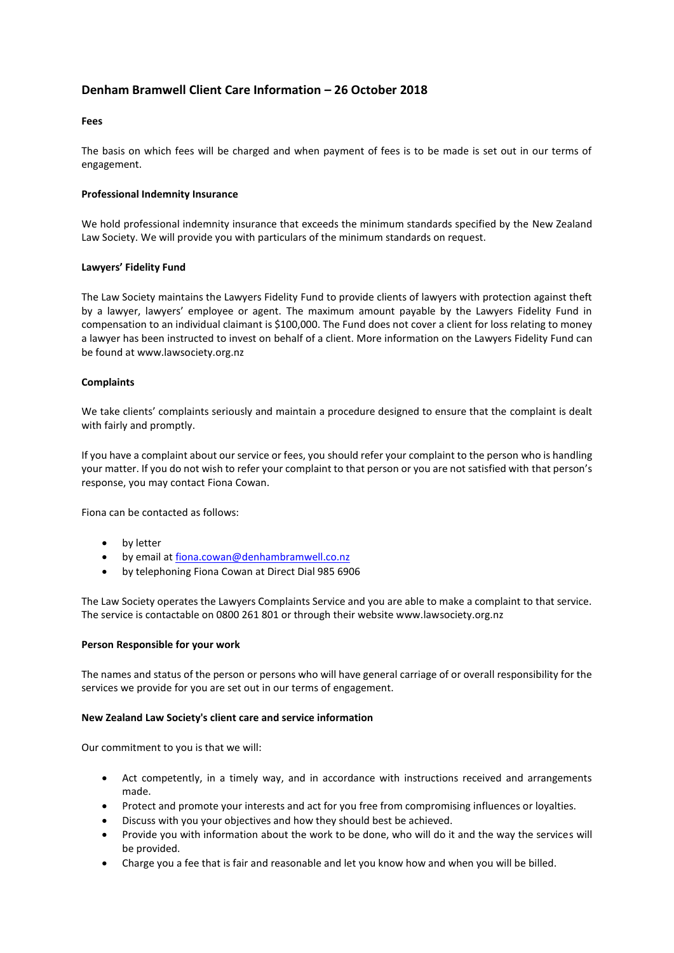# **Denham Bramwell Client Care Information – 26 October 2018**

# **Fees**

The basis on which fees will be charged and when payment of fees is to be made is set out in our terms of engagement.

# **Professional Indemnity Insurance**

We hold professional indemnity insurance that exceeds the minimum standards specified by the [New Zealand](http://www.lawsociety.org.nz/)  [Law Society.](http://www.lawsociety.org.nz/) We will provide you with particulars of the minimum standards on request.

# **Lawyers' Fidelity Fund**

The Law Society maintains the Lawyers Fidelity Fund to provide clients of lawyers with protection against theft by a lawyer, lawyers' employee or agent. The maximum amount payable by the Lawyers Fidelity Fund in compensation to an individual claimant is \$100,000. The Fund does not cover a client for loss relating to money a lawyer has been instructed to invest on behalf of a client. More information on the Lawyers Fidelity Fund can be found at www.lawsociety.org.nz

# **Complaints**

We take clients' complaints seriously and maintain a procedure designed to ensure that the complaint is dealt with fairly and promptly.

If you have a complaint about our service or fees, you should refer your complaint to the person who is handling your matter. If you do not wish to refer your complaint to that person or you are not satisfied with that person's response, you may contact Fiona Cowan.

Fiona can be contacted as follows:

- by letter
- by email at [fiona.cowan@denhambramwell.co.nz](mailto:fiona.cowan@denhambramwell.co.nz)
- by telephoning Fiona Cowan at Direct Dial 985 6906

The Law Society operates the Lawyers Complaints Service and you are able to make a complaint to that service. The service is contactable on 0800 261 801 or through their website www.lawsociety.org.nz

# **Person Responsible for your work**

The names and status of the person or persons who will have general carriage of or overall responsibility for the services we provide for you are set out in our terms of engagement.

#### **New Zealand Law Society's client care and service information**

Our commitment to you is that we will:

- Act competently, in a timely way, and in accordance with instructions received and arrangements made.
- Protect and promote your interests and act for you free from compromising influences or loyalties.
- Discuss with you your objectives and how they should best be achieved.
- Provide you with information about the work to be done, who will do it and the way the services will be provided.
- Charge you a fee that is fair and reasonable and let you know how and when you will be billed.